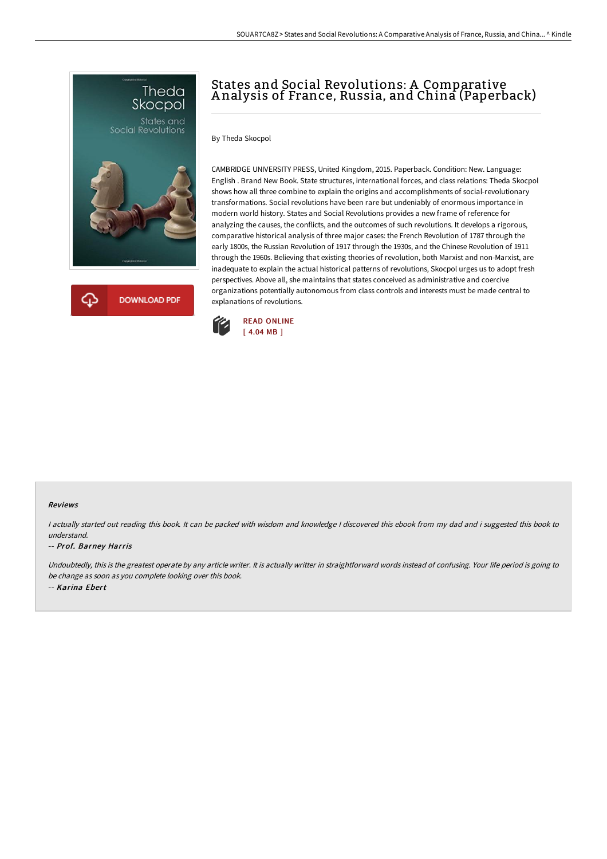



# States and Social Revolutions: A Comparative A nalysis of France, Russia, and China (Paperback)

By Theda Skocpol

CAMBRIDGE UNIVERSITY PRESS, United Kingdom, 2015. Paperback. Condition: New. Language: English . Brand New Book. State structures, international forces, and class relations: Theda Skocpol shows how all three combine to explain the origins and accomplishments of social-revolutionary transformations. Social revolutions have been rare but undeniably of enormous importance in modern world history. States and Social Revolutions provides a new frame of reference for analyzing the causes, the conflicts, and the outcomes of such revolutions. It develops a rigorous, comparative historical analysis of three major cases: the French Revolution of 1787 through the early 1800s, the Russian Revolution of 1917 through the 1930s, and the Chinese Revolution of 1911 through the 1960s. Believing that existing theories of revolution, both Marxist and non-Marxist, are inadequate to explain the actual historical patterns of revolutions, Skocpol urges us to adopt fresh perspectives. Above all, she maintains that states conceived as administrative and coercive organizations potentially autonomous from class controls and interests must be made central to explanations of revolutions.



#### Reviews

I actually started out reading this book. It can be packed with wisdom and knowledge I discovered this ebook from my dad and i suggested this book to understand.

#### -- Prof. Barney Harris

Undoubtedly, this is the greatest operate by any article writer. It is actually writter in straightforward words instead of confusing. Your life period is going to be change as soon as you complete looking over this book. -- Karina Ebert